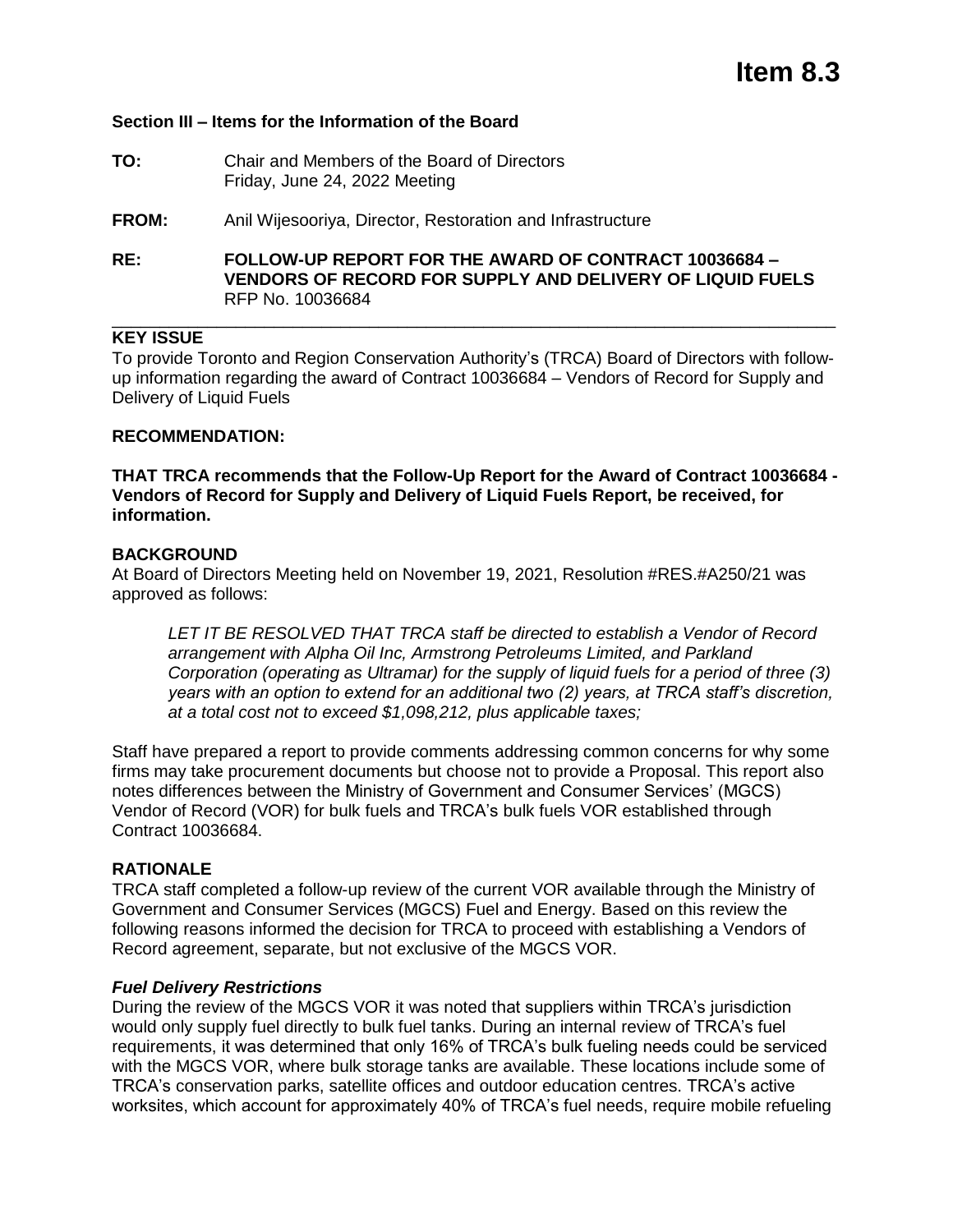# **Section III – Items for the Information of the Board**

**TO:** Chair and Members of the Board of Directors Friday, June 24, 2022 Meeting

**FROM:** Anil Wijesooriya, Director, Restoration and Infrastructure

**RE: FOLLOW-UP REPORT FOR THE AWARD OF CONTRACT 10036684 – VENDORS OF RECORD FOR SUPPLY AND DELIVERY OF LIQUID FUELS**  RFP No. 10036684

## **KEY ISSUE**

To provide Toronto and Region Conservation Authority's (TRCA) Board of Directors with followup information regarding the award of Contract 10036684 – Vendors of Record for Supply and Delivery of Liquid Fuels

\_\_\_\_\_\_\_\_\_\_\_\_\_\_\_\_\_\_\_\_\_\_\_\_\_\_\_\_\_\_\_\_\_\_\_\_\_\_\_\_\_\_\_\_\_\_\_\_\_\_\_\_\_\_\_\_\_\_\_\_\_\_\_\_\_\_\_\_\_\_\_\_\_\_\_\_

### **RECOMMENDATION:**

**THAT TRCA recommends that the Follow-Up Report for the Award of Contract 10036684 - Vendors of Record for Supply and Delivery of Liquid Fuels Report, be received, for information.** 

### **BACKGROUND**

At Board of Directors Meeting held on November 19, 2021, Resolution #RES.#A250/21 was approved as follows:

*LET IT BE RESOLVED THAT TRCA staff be directed to establish a Vendor of Record arrangement with Alpha Oil Inc, Armstrong Petroleums Limited, and Parkland Corporation (operating as Ultramar) for the supply of liquid fuels for a period of three (3) years with an option to extend for an additional two (2) years, at TRCA staff's discretion, at a total cost not to exceed \$1,098,212, plus applicable taxes;*

Staff have prepared a report to provide comments addressing common concerns for why some firms may take procurement documents but choose not to provide a Proposal. This report also notes differences between the Ministry of Government and Consumer Services' (MGCS) Vendor of Record (VOR) for bulk fuels and TRCA's bulk fuels VOR established through Contract 10036684.

## **RATIONALE**

TRCA staff completed a follow-up review of the current VOR available through the Ministry of Government and Consumer Services (MGCS) Fuel and Energy. Based on this review the following reasons informed the decision for TRCA to proceed with establishing a Vendors of Record agreement, separate, but not exclusive of the MGCS VOR.

#### *Fuel Delivery Restrictions*

During the review of the MGCS VOR it was noted that suppliers within TRCA's jurisdiction would only supply fuel directly to bulk fuel tanks. During an internal review of TRCA's fuel requirements, it was determined that only 16% of TRCA's bulk fueling needs could be serviced with the MGCS VOR, where bulk storage tanks are available. These locations include some of TRCA's conservation parks, satellite offices and outdoor education centres. TRCA's active worksites, which account for approximately 40% of TRCA's fuel needs, require mobile refueling